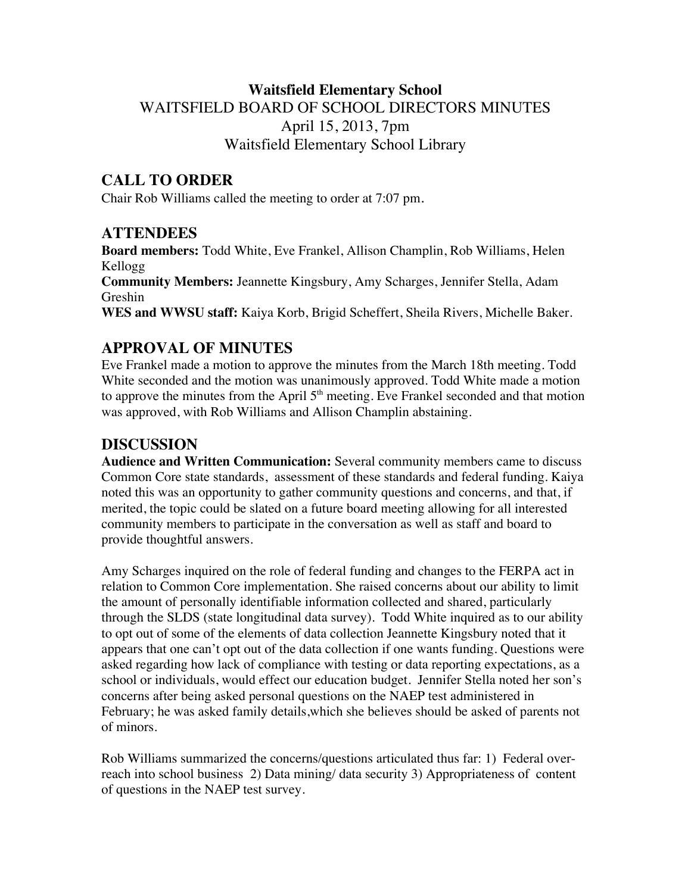# **Waitsfield Elementary School** WAITSFIELD BOARD OF SCHOOL DIRECTORS MINUTES April 15, 2013, 7pm Waitsfield Elementary School Library

## **CALL TO ORDER**

Chair Rob Williams called the meeting to order at 7:07 pm.

### **ATTENDEES**

**Board members:** Todd White, Eve Frankel, Allison Champlin, Rob Williams, Helen Kellogg **Community Members:** Jeannette Kingsbury, Amy Scharges, Jennifer Stella, Adam Greshin **WES and WWSU staff:** Kaiya Korb, Brigid Scheffert, Sheila Rivers, Michelle Baker.

# **APPROVAL OF MINUTES**

Eve Frankel made a motion to approve the minutes from the March 18th meeting. Todd White seconded and the motion was unanimously approved. Todd White made a motion to approve the minutes from the April  $5<sup>th</sup>$  meeting. Eve Frankel seconded and that motion was approved, with Rob Williams and Allison Champlin abstaining.

## **DISCUSSION**

**Audience and Written Communication:** Several community members came to discuss Common Core state standards, assessment of these standards and federal funding. Kaiya noted this was an opportunity to gather community questions and concerns, and that, if merited, the topic could be slated on a future board meeting allowing for all interested community members to participate in the conversation as well as staff and board to provide thoughtful answers.

Amy Scharges inquired on the role of federal funding and changes to the FERPA act in relation to Common Core implementation. She raised concerns about our ability to limit the amount of personally identifiable information collected and shared, particularly through the SLDS (state longitudinal data survey). Todd White inquired as to our ability to opt out of some of the elements of data collection Jeannette Kingsbury noted that it appears that one can't opt out of the data collection if one wants funding. Questions were asked regarding how lack of compliance with testing or data reporting expectations, as a school or individuals, would effect our education budget. Jennifer Stella noted her son's concerns after being asked personal questions on the NAEP test administered in February; he was asked family details,which she believes should be asked of parents not of minors.

Rob Williams summarized the concerns/questions articulated thus far: 1) Federal overreach into school business 2) Data mining/ data security 3) Appropriateness of content of questions in the NAEP test survey.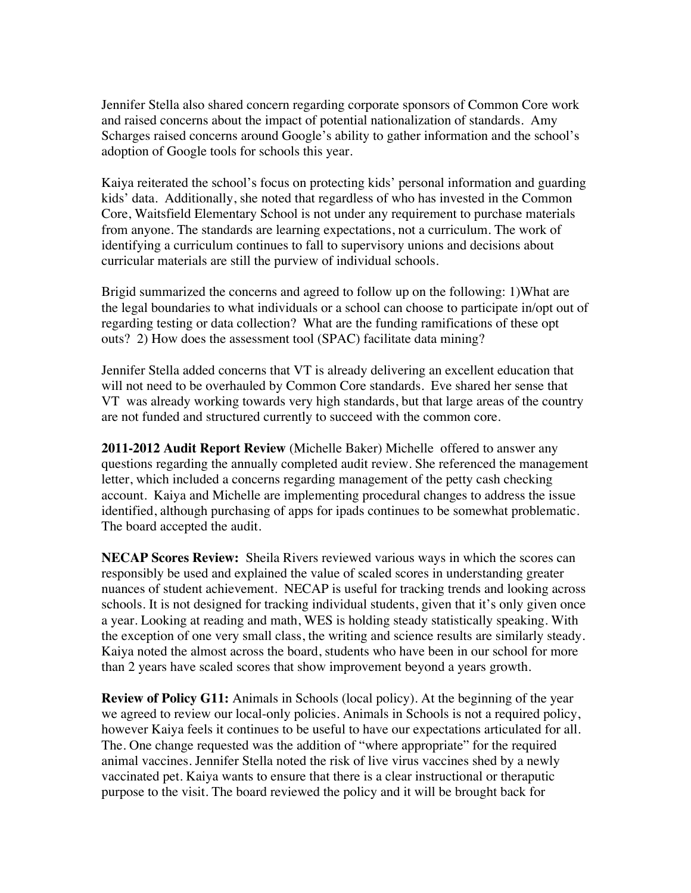Jennifer Stella also shared concern regarding corporate sponsors of Common Core work and raised concerns about the impact of potential nationalization of standards. Amy Scharges raised concerns around Google's ability to gather information and the school's adoption of Google tools for schools this year.

Kaiya reiterated the school's focus on protecting kids' personal information and guarding kids' data. Additionally, she noted that regardless of who has invested in the Common Core, Waitsfield Elementary School is not under any requirement to purchase materials from anyone. The standards are learning expectations, not a curriculum. The work of identifying a curriculum continues to fall to supervisory unions and decisions about curricular materials are still the purview of individual schools.

Brigid summarized the concerns and agreed to follow up on the following: 1)What are the legal boundaries to what individuals or a school can choose to participate in/opt out of regarding testing or data collection? What are the funding ramifications of these opt outs? 2) How does the assessment tool (SPAC) facilitate data mining?

Jennifer Stella added concerns that VT is already delivering an excellent education that will not need to be overhauled by Common Core standards. Eve shared her sense that VT was already working towards very high standards, but that large areas of the country are not funded and structured currently to succeed with the common core.

**2011-2012 Audit Report Review** (Michelle Baker) Michelle offered to answer any questions regarding the annually completed audit review. She referenced the management letter, which included a concerns regarding management of the petty cash checking account. Kaiya and Michelle are implementing procedural changes to address the issue identified, although purchasing of apps for ipads continues to be somewhat problematic. The board accepted the audit.

**NECAP Scores Review:** Sheila Rivers reviewed various ways in which the scores can responsibly be used and explained the value of scaled scores in understanding greater nuances of student achievement. NECAP is useful for tracking trends and looking across schools. It is not designed for tracking individual students, given that it's only given once a year. Looking at reading and math, WES is holding steady statistically speaking. With the exception of one very small class, the writing and science results are similarly steady. Kaiya noted the almost across the board, students who have been in our school for more than 2 years have scaled scores that show improvement beyond a years growth.

**Review of Policy G11:** Animals in Schools (local policy). At the beginning of the year we agreed to review our local-only policies. Animals in Schools is not a required policy, however Kaiya feels it continues to be useful to have our expectations articulated for all. The. One change requested was the addition of "where appropriate" for the required animal vaccines. Jennifer Stella noted the risk of live virus vaccines shed by a newly vaccinated pet. Kaiya wants to ensure that there is a clear instructional or theraputic purpose to the visit. The board reviewed the policy and it will be brought back for